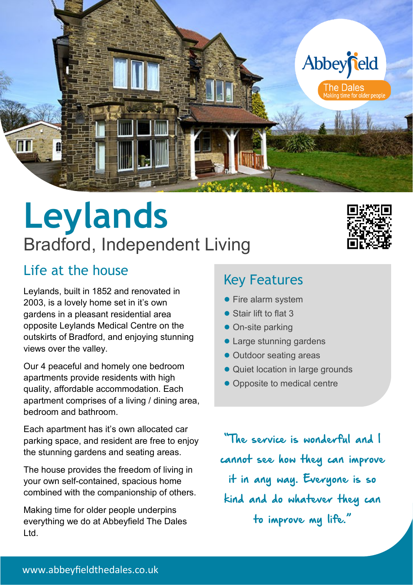

## **Leylands** Bradford, Independent Living

### Life at the house

Leylands, built in 1852 and renovated in 2003, is a lovely home set in it's own gardens in a pleasant residential area opposite Leylands Medical Centre on the outskirts of Bradford, and enjoying stunning views over the valley.

Our 4 peaceful and homely one bedroom apartments provide residents with high quality, affordable accommodation. Each apartment comprises of a living / dining area, bedroom and bathroom.

Each apartment has it's own allocated car parking space, and resident are free to enjoy the stunning gardens and seating areas.

The house provides the freedom of living in your own self-contained, spacious home combined with the companionship of others.

Making time for older people underpins everything we do at Abbeyfield The Dales Ltd.

### Key Features

- Fire alarm system
- Stair lift to flat 3
- On-site parking
- Large stunning gardens
- Outdoor seating areas
- Quiet location in large grounds
- Opposite to medical centre

"The service is wonderful and I cannot see how they can improve it in any way. Everyone is so kind and do whatever they can to improve my life."